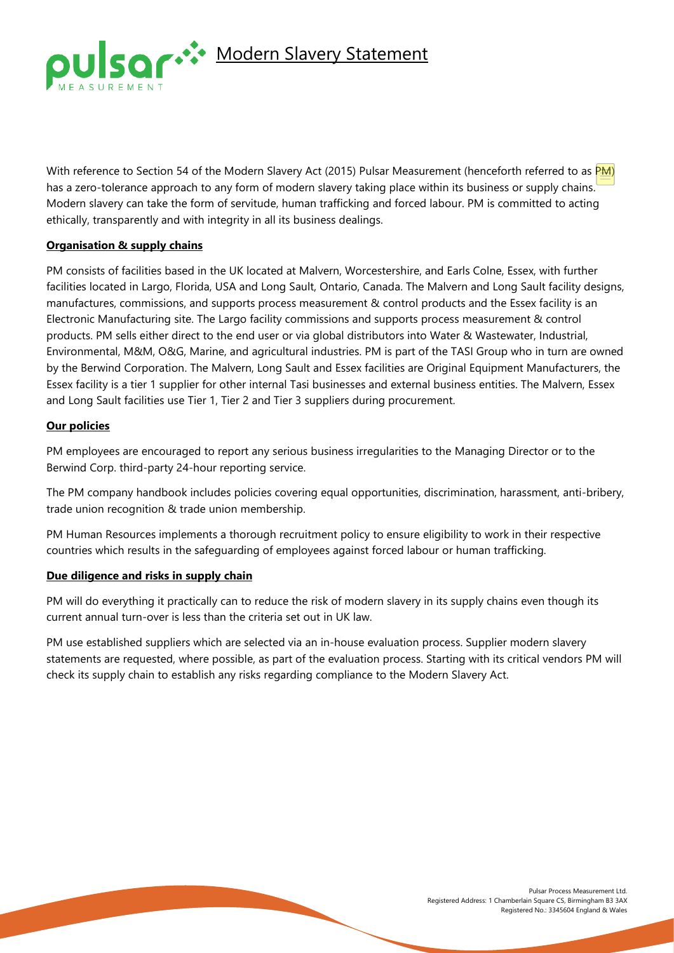

With reference to Section 54 of the Modern Slavery Act (2015) Pulsar Measurement (henceforth referred to as PM) has a zero-tolerance approach to any form of modern slavery taking place within its business or supply chains. Modern slavery can take the form of servitude, human trafficking and forced labour. PM is committed to acting ethically, transparently and with integrity in all its business dealings.

# **Organisation & supply chains**

PM consists of facilities based in the UK located at Malvern, Worcestershire, and Earls Colne, Essex, with further facilities located in Largo, Florida, USA and Long Sault, Ontario, Canada. The Malvern and Long Sault facility designs, manufactures, commissions, and supports process measurement & control products and the Essex facility is an Electronic Manufacturing site. The Largo facility commissions and supports process measurement & control products. PM sells either direct to the end user or via global distributors into Water & Wastewater, Industrial, Environmental, M&M, O&G, Marine, and agricultural industries. PM is part of the TASI Group who in turn are owned by the Berwind Corporation. The Malvern, Long Sault and Essex facilities are Original Equipment Manufacturers, the Essex facility is a tier 1 supplier for other internal Tasi businesses and external business entities. The Malvern, Essex and Long Sault facilities use Tier 1, Tier 2 and Tier 3 suppliers during procurement.

# **Our policies**

PM employees are encouraged to report any serious business irregularities to the Managing Director or to the Berwind Corp. third-party 24-hour reporting service.

The PM company handbook includes policies covering equal opportunities, discrimination, harassment, anti-bribery, trade union recognition & trade union membership.

PM Human Resources implements a thorough recruitment policy to ensure eligibility to work in their respective countries which results in the safeguarding of employees against forced labour or human trafficking.

## **Due diligence and risks in supply chain**

PM will do everything it practically can to reduce the risk of modern slavery in its supply chains even though its current annual turn-over is less than the criteria set out in UK law.

PM use established suppliers which are selected via an in-house evaluation process. Supplier modern slavery statements are requested, where possible, as part of the evaluation process. Starting with its critical vendors PM will check its supply chain to establish any risks regarding compliance to the Modern Slavery Act.